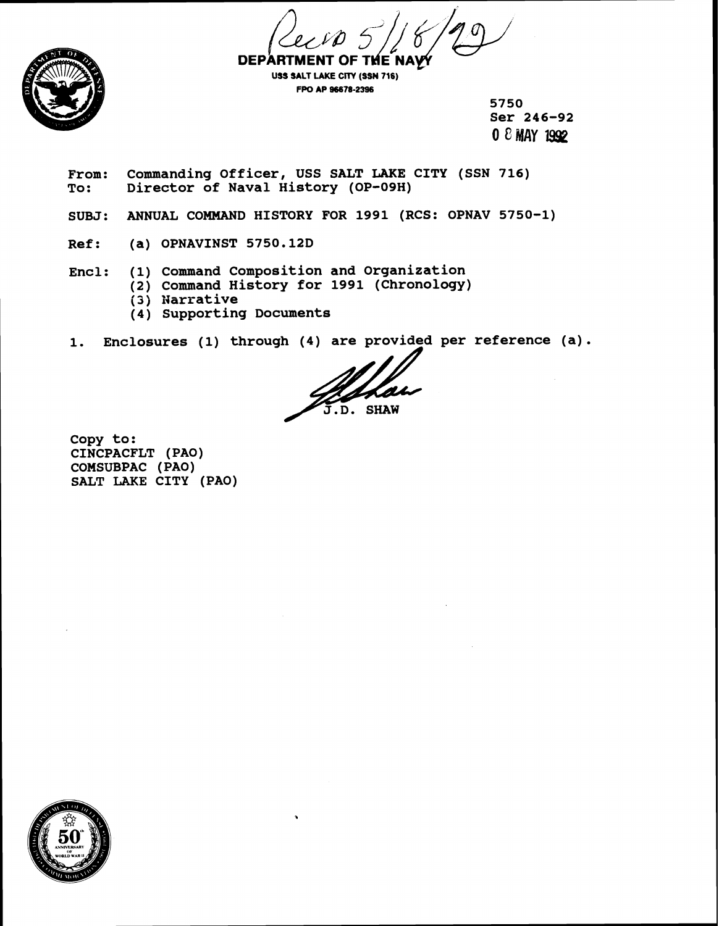



**USS SALT LAKE CITY (SSN 716) FPO A? 96678-2396** 

**5750 Ser 246-92 0** 8 **MAY 19JP** 

From: Commanding Officer, USS SALT LAKE CITY (SSN 716)<br>To: Director of Naval History (OP-09H) **To: Director of Naval History (OP-09H)** 

**SUBJ: ANNUAL COMMAND HISTORY FOR 1991 (RCS: OPNAV 5750-1)** 

**Ref: (a) OPNAVINST 5750.12D** 

**Encl: (1) Command Composition and Organization** 

- **(2) Command History for 1991 (Chronology)**  ; **3 j Narrative** 
	-
	- **(4) Supporting Documents**

1. Enclosures (1) through (4) are provided per reference (a).

**SHAW** 

**Copy to: CINCPACFLT (PAO) COMSUBPAC (PAO) SALT LAKE CITY (PAO)** 

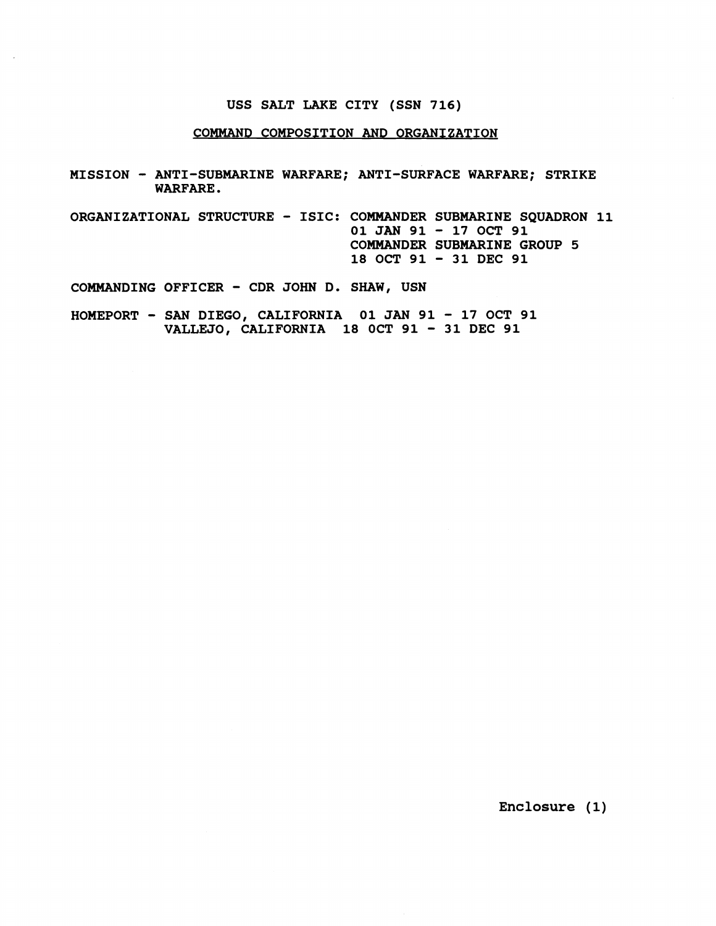### **USS SALT LAKE CITY (SSN 716)**

### **COMMAND COMPOSITION AND ORGANIZATION**

- **MISSION ANTI-SUBMARINE WARFARE; ANTI-SURFACE WARFARE; STRIKE WARFARE.**
- **ORGANIZATIONAL STRUCTURE ISIC: COMMANDER SUBMARINE SQUADRON 11 01 JAN 91** - **17 OCT 91 COMMANDER SUBMARINE GROUP 5 18 OCT 91** - **31 DEC 91**

**COMMANDING OFFICER** - **CDR JOHN D. SHAW, USN** 

**HOMEPORT** - **SAN DIEGO, CALIFORNIA 01 JAN 91** - **17 OCT 91 VALLEJO, CALIFORNIA 18 OCT 91** - **31 DEC 91** 

**Enclosure (1)**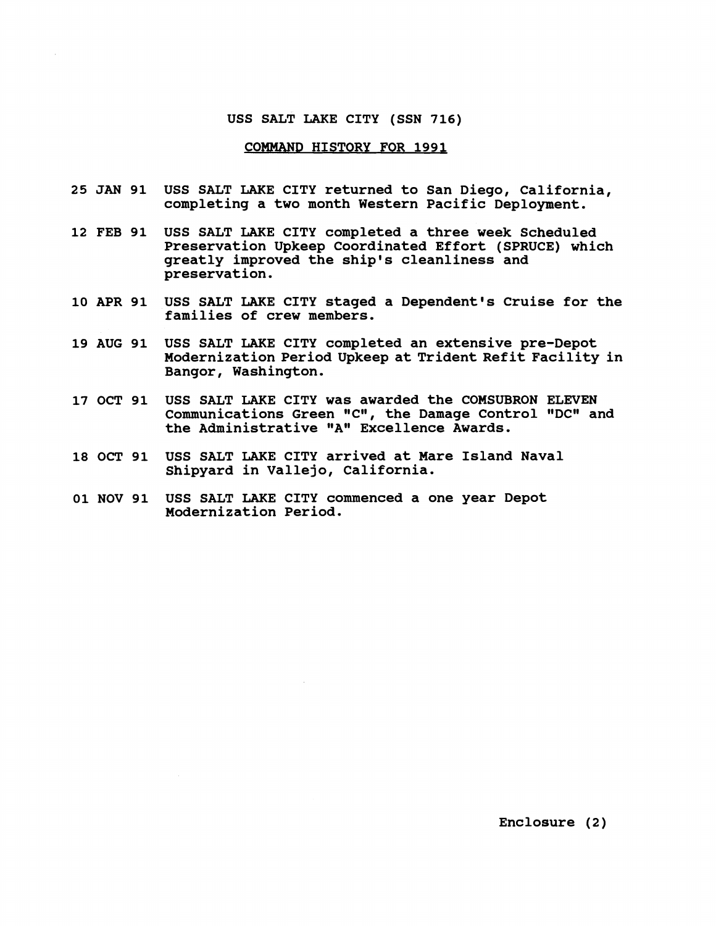#### **USS SALT LAKE CITY (SSN 716)**

## **COMMAND HISTORY FOR 1991**

- **25 JAN 91 USS SALT LAKE CITY returned to San Diego, California, completing a two month Western Pacific Deployment.**
- **12 FEB 91 USS SALT LAKE CITY completed a three week Scheduled Preservation Upkeep Coordinated Effort (SPRUCE) which greatly improved the ship's cleanliness and preservation.**
- **10 APR 91 USS SALT LAKE CITY staged a Dependent's Cruise for the families of crew members.**
- **19 AUG 91 USS SALT LAKE CITY completed an extensive pre-Depot Modernization Period Upkeep at Trident Refit Facility in Bangor, Washington.**
- **17 OCT 91 USS SALT LAKE CITY was awarded the COMSUBRON ELEVEN Communications Green "CW, the Damage Control "DCm and**  the Administrative "A" Excellence Awards.
- **18 OCT 91 USS SALT LAKE CITY arrived at Mare Island Naval Shipyard in Vallejo, California.**
- **01 NOV 91 USS SALT LAKE CITY commenced a one year Depot Modernization Period.**